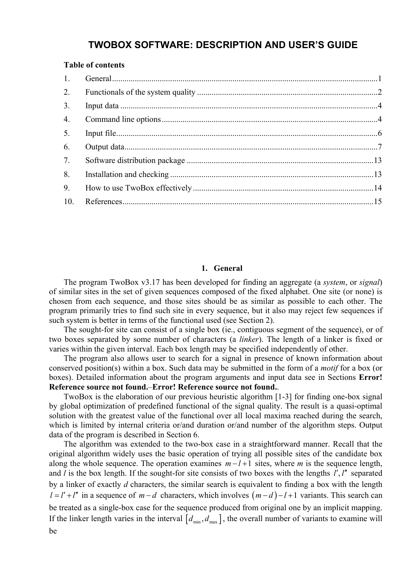# **TWOBOX SOFTWARE: DESCRIPTION AND USER'S GUIDE**

#### <span id="page-0-0"></span>**Table of contents**

| 1.  |  |
|-----|--|
| 2.  |  |
| 3.  |  |
| 4.  |  |
| 5.  |  |
| 6.  |  |
| 7.  |  |
| 8.  |  |
| 9.  |  |
| 10. |  |
|     |  |

#### **1. General**

The program TwoBox v3.17 has been developed for finding an aggregate (a *system*, or *signal*) of similar sites in the set of given sequences composed of the fixed alphabet. One site (or none) is chosen from each sequence, and those sites should be as similar as possible to each other. The program primarily tries to find such site in every sequence, but it also may reject few sequences if such system is better in terms of the functional used (see Section [2](#page-1-0)).

The sought-for site can consist of a single box (ie., contiguous segment of the sequence), or of two boxes separated by some number of characters (a *linker*). The length of a linker is fixed or varies within the given interval. Each box length may be specified independently of other.

The program also allows user to search for a signal in presence of known information about conserved position(s) within a box. Such data may be submitted in the form of a *motif* for a box (or boxes). Detailed information about the program arguments and input data see in Sections **Error! Reference source not found.**–**Error! Reference source not found.**.

TwoBox is the elaboration of our previous heuristic algorithm [1-3] for finding one-box signal by global optimization of predefined functional of the signal quality. The result is a quasi-optimal solution with the greatest value of the functional over all local maxima reached during the search, which is limited by internal criteria or/and duration or/and number of the algorithm steps. Output data of the program is described in Section [6.](#page-6-0)

The algorithm was extended to the two-box case in a straightforward manner. Recall that the original algorithm widely uses the basic operation of trying all possible sites of the candidate box along the whole sequence. The operation examines  $m - l + 1$  sites, where *m* is the sequence length, and  $\overline{l}$  is the box length. If the sought-for site consists of two boxes with the lengths  $\overline{l}'$ ,  $\overline{l}''$  separated by a linker of exactly *d* characters, the similar search is equivalent to finding a box with the length  $l = l' + l''$  in a sequence of  $m - d$  characters, which involves  $(m - d) - l + 1$  variants. This search can be treated as a single-box case for the sequence produced from original one by an implicit mapping. If the linker length varies in the interval  $[d_{\min}, d_{\max}]$ , the overall number of variants to examine will be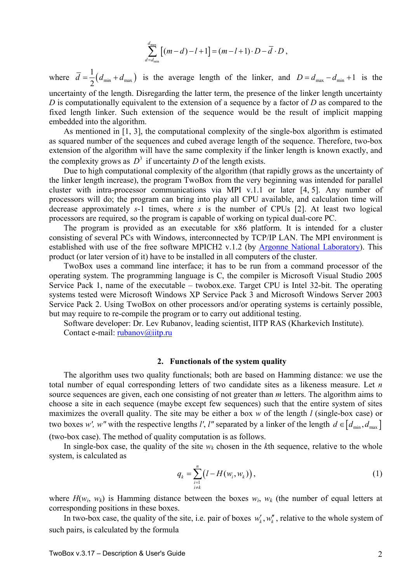$$
\sum_{d=d_{\min}}^{d_{\max}} [(m-d)-l+1]=(m-l+1)\cdot D-\overline{d}\cdot D,
$$

<span id="page-1-0"></span>where  $\overline{d} = \frac{1}{2} (d_{\min} + d_{\max})$  $d = \frac{1}{2}(d_{\min} + d_{\max})$  is the average length of the linker, and  $D = d_{\max} - d_{\min} + 1$  is the uncertainty of the length. Disregarding the latter term, the presence of the linker length uncertainty *D* is computationally equivalent to the extension of a sequence by a factor of *D* as compared to the fixed length linker. Such extension of the sequence would be the result of implicit mapping embedded into the algorithm.

As mentioned in [1, 3], the computational complexity of the single-box algorithm is estimated as squared number of the sequences and cubed average length of the sequence. Therefore, two-box extension of the algorithm will have the same complexity if the linker length is known exactly, and the complexity grows as  $D^3$  if uncertainty *D* of the length exists.

Due to high computational complexity of the algorithm (that rapidly grows as the uncertainty of the linker length increase), the program TwoBox from the very beginning was intended for parallel cluster with intra-processor communications via MPI v.1.1 or later [4, 5]. Any number of processors will do; the program can bring into play all CPU available, and calculation time will decrease approximately *s*-1 times, where *s* is the number of CPUs [2]. At least two logical processors are required, so the program is capable of working on typical dual-core PC.

The program is provided as an executable for x86 platform. It is intended for a cluster consisting of several PCs with Windows, interconnected by TCP/IP LAN. The MPI environment is established with use of the free software MPICH2 v.1.2 (by [Argonne National Laboratory](http://www.mcs.anl.gov/mpi/mpich2)). This product (or later version of it) have to be installed in all computers of the cluster.

TwoBox uses a command line interface; it has to be run from a command processor of the operating system. The programming language is С, the compiler is Microsoft Visual Studio 2005 Service Pack 1, name of the executable – twobox.exe. Target CPU is Intel 32-bit. The operating systems tested were Microsoft Windows XP Service Pack 3 and Microsoft Windows Server 2003 Service Pack 2. Using TwoBox on other processors and/or operating systems is certainly possible, but may require to re-compile the program or to carry out additional testing.

Software developer: Dr. Lev Rubanov, leading scientist, IITP RAS (Kharkevich Institute). Contact e-mail: [rubanov@iitp.ru](mailto:rubanov@iitp.ru)

#### **2. Functionals of the system quality**

The algorithm uses two quality functionals; both are based on Hamming distance: we use the total number of equal corresponding letters of two candidate sites as a likeness measure. Let *n* source sequences are given, each one consisting of not greater than *m* letters. The algorithm aims to choose a site in each sequence (maybe except few sequences) such that the entire system of sites maximizes the overall quality. The site may be either a box *w* of the length *l* (single-box case) or two boxes *w'*, *w*" with the respective lengths *l'*, *l*" separated by a linker of the length  $d \in [d_{\min}, d_{\max}]$ 

(two-box case). The method of quality computation is as follows.

In single-box case, the quality of the site  $w_k$  chosen in the  $k$ th sequence, relative to the whole system, is calculated as

$$
q_k = \sum_{\substack{i=1 \ i \neq k}}^{n} \left( l - H(w_i, w_k) \right), \tag{1}
$$

where  $H(w_i, w_k)$  is Hamming distance between the boxes  $w_i$ ,  $w_k$  (the number of equal letters at corresponding positions in these boxes.

In two-box case, the quality of the site, i.e. pair of boxes  $w'_{k}$ ,  $w''_{k}$ , relative to the whole system of such pairs, is calculated by the formula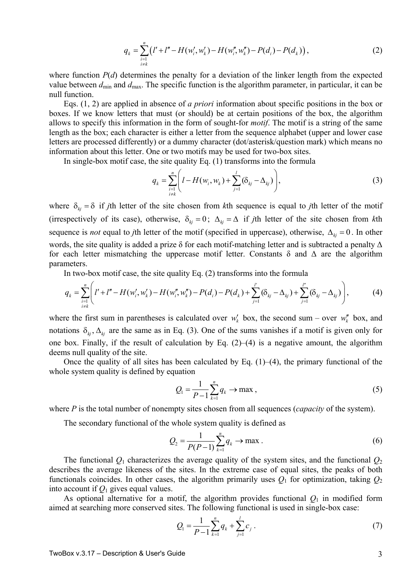$$
q_{k} = \sum_{\substack{i=1 \ i \neq k}}^{n} \left( l' + l'' - H(w'_{i}, w'_{k}) - H(w''_{i}, w''_{k}) - P(d_{i}) - P(d_{k}) \right), \tag{2}
$$

where function *P(d)* determines the penalty for a deviation of the linker length from the expected value between  $d_{\text{min}}$  and  $d_{\text{max}}$ . The specific function is the algorithm parameter, in particular, it can be null function.

Eqs. (1, 2) are applied in absence of *a priori* information about specific positions in the box or boxes. If we know letters that must (or should) be at certain positions of the box, the algorithm allows to specify this information in the form of sought-for *motif*. The motif is a string of the same length as the box; each character is either a letter from the sequence alphabet (upper and lower case letters are processed differently) or a dummy character (dot/asterisk/question mark) which means no information about this letter. One or two motifs may be used for two-box sites.

In single-box motif case, the site quality Eq. (1) transforms into the formula

$$
q_{k} = \sum_{\substack{i=1 \\ i \neq k}}^{n} \left( l - H(w_{i}, w_{k}) + \sum_{j=1}^{l} (\delta_{kj} - \Delta_{kj}) \right), \tag{3}
$$

where  $\delta_{ki} = \delta$  if *j*th letter of the site chosen from *k*th sequence is equal to *j*th letter of the motif (irrespectively of its case), otherwise,  $\delta_{ki} = 0$ ;  $\Delta_{ki} = \Delta$  if *j*th letter of the site chosen from *k*th sequence is *not* equal to *j*th letter of the motif (specified in uppercase), otherwise,  $\Delta_{ki} = 0$ . In other words, the site quality is added a prize  $\delta$  for each motif-matching letter and is subtracted a penalty  $\Delta$ for each letter mismatching the uppercase motif letter. Constants  $\delta$  and  $\Delta$  are the algorithm parameters.

In two-box motif case, the site quality Eq. (2) transforms into the formula

$$
q_{k} = \sum_{\substack{i=1 \\ i \neq k}}^{n} \Biggl(l' + l'' - H(w'_{i}, w'_{k}) - H(w''_{i}, w''_{k}) - P(d_{i}) - P(d_{k}) + \sum_{j=1}^{l'} (\delta_{kj} - \Delta_{kj}) + \sum_{j=1}^{l'} (\delta_{kj} - \Delta_{kj})\Biggr),
$$
 (4)

where the first sum in parentheses is calculated over  $w'_{k}$  box, the second sum – over  $w''_{k}$  box, and notations  $\delta_{kj}$ ,  $\Delta_{kj}$  are the same as in Eq. (3). One of the sums vanishes if a motif is given only for one box. Finally, if the result of calculation by Eq.  $(2)$ – $(4)$  is a negative amount, the algorithm deems null quality of the site.

Once the quality of all sites has been calculated by Eq.  $(1)$ – $(4)$ , the primary functional of the whole system quality is defined by equation

$$
Q_1 = \frac{1}{P - 1} \sum_{k=1}^{n} q_k \to \max ,
$$
 (5)

where *P* is the total number of nonempty sites chosen from all sequences (*capacity* of the system).

The secondary functional of the whole system quality is defined as

$$
Q_2 = \frac{1}{P(P-1)} \sum_{k=1}^{n} q_k \to \max.
$$
 (6)

The functional  $Q_1$  characterizes the average quality of the system sites, and the functional  $Q_2$ describes the average likeness of the sites. In the extreme case of equal sites, the peaks of both functionals coincides. In other cases, the algorithm primarily uses  $Q_1$  for optimization, taking  $Q_2$ into account if  $Q_1$  gives equal values.

As optional alternative for a motif, the algorithm provides functional  $Q_1$  in modified form aimed at searching more conserved sites. The following functional is used in single-box case:

$$
Q_{1} = \frac{1}{P-1} \sum_{k=1}^{n} q_{k} + \sum_{j=1}^{l} c_{j} . \qquad (7)
$$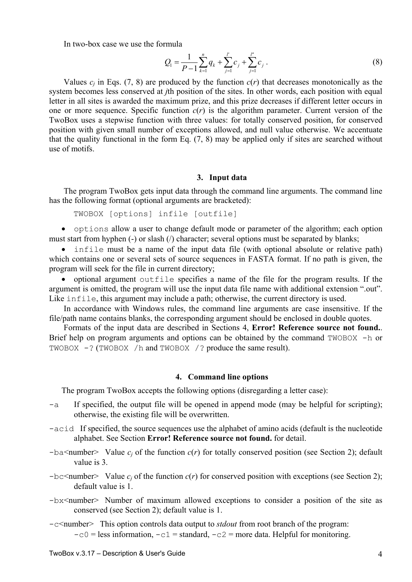<span id="page-3-0"></span>In two-box case we use the formula

$$
Q_{1} = \frac{1}{P-1} \sum_{k=1}^{n} q_{k} + \sum_{j=1}^{l'} c_{j} + \sum_{j=1}^{l''} c_{j} . \qquad (8)
$$

Values  $c_i$  in Eqs. (7, 8) are produced by the function  $c(r)$  that decreases monotonically as the system becomes less conserved at *j*th position of the sites. In other words, each position with equal letter in all sites is awarded the maximum prize, and this prize decreases if different letter occurs in one or more sequence. Specific function *с*(*r*) is the algorithm parameter. Current version of the TwoBox uses a stepwise function with three values: for totally conserved position, for conserved position with given small number of exceptions allowed, and null value otherwise. We accentuate that the quality functional in the form Eq. (7, 8) may be applied only if sites are searched without use of motifs.

#### **3. Input data**

The program TwoBox gets input data through the command line arguments. The command line has the following format (optional arguments are bracketed):

TWOBOX [options] infile [outfile]

• options allow a user to change default mode or parameter of the algorithm; each option must start from hyphen (-) or slash (/) character; several options must be separated by blanks;

• infile must be a name of the input data file (with optional absolute or relative path) which contains one or several sets of source sequences in FASTA format. If no path is given, the program will seek for the file in current directory;

• optional argument outfile specifies a name of the file for the program results. If the argument is omitted, the program will use the input data file name with additional extension ".out". Like infile, this argument may include a path; otherwise, the current directory is used.

In accordance with Windows rules, the command line arguments are case insensitive. If the file/path name contains blanks, the corresponding argument should be enclosed in double quotes.

Formats of the input data are described in Sections [4,](#page-3-0) **Error! Reference source not found.**. Brief help on program arguments and options can be obtained by the command TWOBOX -h or TWOBOX -? (TWOBOX /h and TWOBOX /? produce the same result).

#### **4. Command line options**

The program TwoBox accepts the following options (disregarding a letter case):

- -a If specified, the output file will be opened in append mode (may be helpful for scripting); otherwise, the existing file will be overwritten.
- -acid If specified, the source sequences use the alphabet of amino acids (default is the nucleotide alphabet. See Section **Error! Reference source not found.** for detail.
- $-ba$ <number> Value  $c_j$  of the function  $c(r)$  for totally conserved position (see Section [2](#page-1-0)); default value is 3.
- $-bc$ <number> Value  $c_i$  of the function  $c(r)$  for conserved position with exceptions (see Section [2](#page-1-0)); default value is 1.
- -bx<number> Number of maximum allowed exceptions to consider a position of the site as conserved (see Section [2\)](#page-1-0); default value is 1.
- -c<number> This option controls data output to *stdout* from root branch of the program:  $-c0$  = less information,  $-c1$  = standard,  $-c2$  = more data. Helpful for monitoring.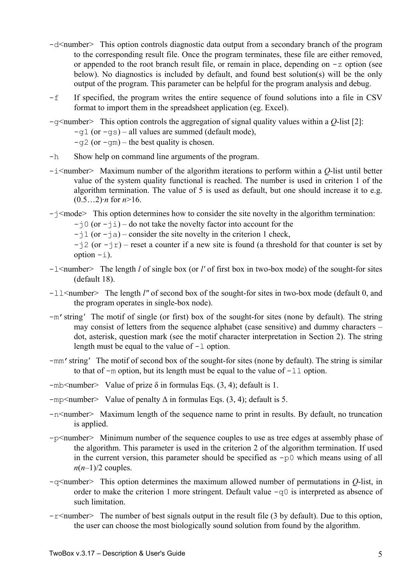- $-d$ <number> This option controls diagnostic data output from a secondary branch of the program to the corresponding result file. Once the program terminates, these file are either removed, or appended to the root branch result file, or remain in place, depending on  $-z$  option (see below). No diagnostics is included by default, and found best solution(s) will be the only output of the program. This parameter can be helpful for the program analysis and debug.
- -f If specified, the program writes the entire sequence of found solutions into a file in CSV format to import them in the spreadsheet application (eg. Excel).
- -g<number> This option controls the aggregation of signal quality values within a *Q*-list [2]:  $-q1$  (or  $-qs$ ) – all values are summed (default mode),  $-\alpha$ 2 (or  $-\alpha$ m) – the best quality is chosen.
- -h Show help on command line arguments of the program.
- -i<number> Maximum number of the algorithm iterations to perform within a *Q*-list until better value of the system quality functional is reached. The number is used in criterion 1 of the algorithm termination. The value of 5 is used as default, but one should increase it to e.g.  $(0.5...2)$ *·n* for  $n > 16$ .
- $-j$ <mode> This option determines how to consider the site novelty in the algorithm termination:
	- $-i$  (or  $-i$ ) do not take the novelty factor into account for the
	- $-i1$  (or  $-ia$ ) consider the site novelty in the criterion 1 check,
	- $-i2$  (or  $-i\tau$ ) reset a counter if a new site is found (a threshold for that counter is set by option  $-i$ ).
- -l<number> The length *l* of single box (or *l'* of first box in two-box mode) of the sought-for sites (default 18).
- -ll <number> The length *l*" of second box of the sought-for sites in two-box mode (default 0, and the program operates in single-box node).
- -m'string*'* The motif of single (or first) box of the sought-for sites (none by default). The string may consist of letters from the sequence alphabet (case sensitive) and dummy characters – dot, asterisk, question mark (see the motif character interpretation in Section [2](#page-1-0)). The string length must be equal to the value of  $-1$  option.
- -mm'string*'* The motif of second box of the sought-for sites (none by default). The string is similar to that of  $-m$  option, but its length must be equal to the value of  $-11$  option.
- $-mb$  mumber Value of prize  $\delta$  in formulas Eqs. (3, 4); default is 1.
- $-mp\leq number$  Value of penalty  $\Delta$  in formulas Eqs. (3, 4); default is 5.
- $-n$ <number> Maximum length of the sequence name to print in results. By default, no truncation is applied.
- -p<number> Minimum number of the sequence couples to use as tree edges at assembly phase of the algorithm. This parameter is used in the criterion 2 of the algorithm termination. If used in the current version, this parameter should be specified as  $-p0$  which means using of all  $n(n-1)/2$  couples.
- -q<number> This option determines the maximum allowed number of permutations in *Q*-list, in order to make the criterion 1 more stringent. Default value  $-q0$  is interpreted as absence of such limitation.
- $-r$ <number> The number of best signals output in the result file (3 by default). Due to this option, the user can choose the most biologically sound solution from found by the algorithm.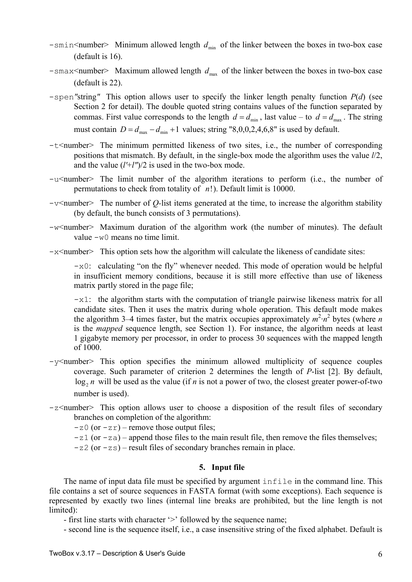- <span id="page-5-0"></span> $-$ smin<number> Minimum allowed length  $d_{\min}$  of the linker between the boxes in two-box case (default is 16).
- $-$ smax<number> Maximum allowed length  $d_{\text{max}}$  of the linker between the boxes in two-box case (default is 22).
- -spen*"*string*"* This option allows user to specify the linker length penalty function *P*(*d*) (see Section [2](#page-1-0) for detail). The double quoted string contains values of the function separated by commas. First value corresponds to the length  $d = d_{min}$ , last value – to  $d = d_{max}$ . The string must contain  $D = d_{\text{max}} - d_{\text{min}} + 1$  values; string "8,0,0,2,4,6,8" is used by default.
- -t<number> The minimum permitted likeness of two sites, i.e., the number of corresponding positions that mismatch. By default, in the single-box mode the algorithm uses the value *l*/2, and the value (*l'*+*l"*)/2 is used in the two-box mode.
- $-u$ <number> The limit number of the algorithm iterations to perform (i.e., the number of permutations to check from totality of *n*!). Default limit is 10000.
- -v<number> The number of *Q-*list items generated at the time, to increase the algorithm stability (by default, the bunch consists of 3 permutations).
- $-w$ <number> Maximum duration of the algorithm work (the number of minutes). The default value -w0 means no time limit.
- $-x$ <number> This option sets how the algorithm will calculate the likeness of candidate sites:

 $-x0$ : calculating "on the fly" whenever needed. This mode of operation would be helpful in insufficient memory conditions, because it is still more effective than use of likeness matrix partly stored in the page file;

 $-x1$ : the algorithm starts with the computation of triangle pairwise likeness matrix for all candidate sites. Then it uses the matrix during whole operation. This default mode makes the algorithm 3–4 times faster, but the matrix occupies approximately  $m^2 \cdot n^2$  bytes (where *n* is the *mapped* sequence length, see Section [1\)](#page-0-0). For instance, the algorithm needs at least 1 gigabyte memory per processor, in order to process 30 sequences with the mapped length of 1000.

- -y<number> This option specifies the minimum allowed multiplicity of sequence couples coverage. Such parameter of criterion 2 determines the length of *P*-list [2]. By default,  $log_2 n$  will be used as the value (if *n* is not a power of two, the closest greater power-of-two number is used).
- $-z$ <number> This option allows user to choose a disposition of the result files of secondary branches on completion of the algorithm:
	- $-z(0)$  (or  $-zr$ ) remove those output files;
	- $-z1$  (or  $-za$ ) append those files to the main result file, then remove the files themselves;
	- $-z2$  (or  $-zs$ ) result files of secondary branches remain in place.

#### **5. Input file**

The name of input data file must be specified by argument infile in the command line. This file contains a set of source sequences in FASTA format (with some exceptions). Each sequence is represented by exactly two lines (internal line breaks are prohibited, but the line length is not limited):

- first line starts with character '>' followed by the sequence name;
- second line is the sequence itself, i.e., a case insensitive string of the fixed alphabet. Default is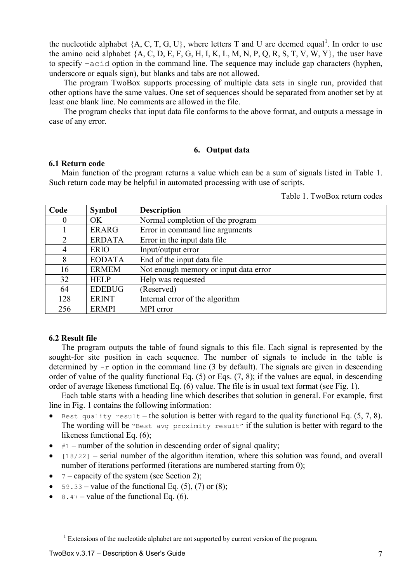<span id="page-6-0"></span>the nucleotide alphabet  $\{A, C, T, G, U\}$ , where letters T and U are deemed equal<sup>[1](#page-6-1)</sup>. In order to use the amino acid alphabet  ${A, C, D, E, F, G, H, I, K, L, M, N, P, Q, R, S, T, V, W, Y}$ , the user have to specify –acid option in the command line. The sequence may include gap characters (hyphen, underscore or equals sign), but blanks and tabs are not allowed.

The program TwoBox supports processing of multiple data sets in single run, provided that other options have the same values. One set of sequences should be separated from another set by at least one blank line. No comments are allowed in the file.

The program checks that input data file conforms to the above format, and outputs a message in case of any error.

#### **6. Output data**

#### **6.1 Return code**

Main function of the program returns a value which can be a sum of signals listed in Table 1. Such return code may be helpful in automated processing with use of scripts.

Table 1. TwoBox return codes

| Code           | <b>Symbol</b> | <b>Description</b>                    |
|----------------|---------------|---------------------------------------|
| 0              | OK            | Normal completion of the program      |
|                | <b>ERARG</b>  | Error in command line arguments       |
| $\overline{2}$ | <b>ERDATA</b> | Error in the input data file          |
| 4              | <b>ERIO</b>   | Input/output error                    |
| 8              | <b>EODATA</b> | End of the input data file            |
| 16             | <b>ERMEM</b>  | Not enough memory or input data error |
| 32             | <b>HELP</b>   | Help was requested                    |
| 64             | <b>EDEBUG</b> | (Reserved)                            |
| 128            | <b>ERINT</b>  | Internal error of the algorithm       |
| 256            | <b>ERMPI</b>  | MPI error                             |

#### **6.2 Result file**

 $\overline{a}$ 

The program outputs the table of found signals to this file. Each signal is represented by the sought-for site position in each sequence. The number of signals to include in the table is determined by  $-r$  option in the command line (3 by default). The signals are given in descending order of value of the quality functional Eq. (5) or Eqs. (7, 8); if the values are equal, in descending order of average likeness functional Eq. (6) value. The file is in usual text format (see Fig. 1).

Each table starts with a heading line which describes that solution in general. For example, first line in Fig. 1 contains the following information:

- Best quality result the solution is better with regard to the quality functional Eq.  $(5, 7, 8)$ . The wording will be "Best avg proximity result" if the sulution is better with regard to the likeness functional Eq. (6);
- $\bullet$  #1 number of the solution in descending order of signal quality;
- $[18/22]$  serial number of the algorithm iteration, where this solution was found, and overall number of iterations performed (iterations are numbered starting from 0);
- $7$  capacity of the system (see Section [2](#page-1-0));
- 59.33 value of the functional Eq.  $(5)$ ,  $(7)$  or  $(8)$ ;
- 8.47 value of the functional Eq.  $(6)$ .

<span id="page-6-1"></span> $<sup>1</sup>$  Extensions of the nucleotide alphabet are not supported by current version of the program.</sup>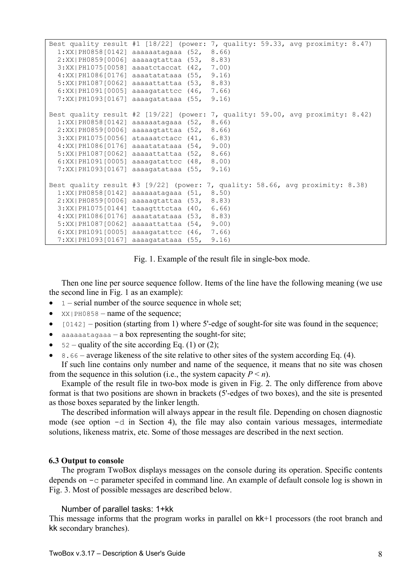```
Best quality result #1 [18/22] (power: 7, quality: 59.33, avg proximity: 8.47) 
  1:XX|PH0858[0142] aaaaaatagaaa (52, 8.66) 
   2:XX|PH0859[0006] aaaaagtattaa (53, 8.83) 
  3:XX|PH1075[0058] aaaatctaccat (42, 7.00) 
  4:XX|PH1086[0176] aaaatatataaa (55, 9.16) 
   5:XX|PH1087[0062] aaaaattattaa (53, 8.83) 
   6:XX|PH1091[0005] aaaagatattcc (46, 7.66) 
   7:XX|PH1093[0167] aaaagatataaa (55, 9.16) 
Best quality result #2 [19/22] (power: 7, quality: 59.00, avg proximity: 8.42) 
  1:XX|PH0858[0142] aaaaaatagaaa (52, 8.66) 
   2:XX|PH0859[0006] aaaaagtattaa (52, 8.66) 
  3:XX|PH1075[0056] ataaaatctacc (41, 6.83) 
  4:XX|PH1086[0176] aaaatatataaa (54, 9.00) 
   5:XX|PH1087[0062] aaaaattattaa (52, 8.66) 
   6:XX|PH1091[0005] aaaagatattcc (48, 8.00) 
   7:XX|PH1093[0167] aaaagatataaa (55, 9.16) 
Best quality result #3 [9/22] (power: 7, quality: 58.66, avg proximity: 8.38) 
  1:XX|PH0858[0142] aaaaaatagaaa (51, 8.50) 
  2:XX|PH0859[0006] aaaaagtattaa (53,
   3:XX|PH1075[0144] taaagtttctaa (40, 6.66) 
   4:XX|PH1086[0176] aaaatatataaa (53, 8.83) 
   5:XX|PH1087[0062] aaaaattattaa (54, 9.00) 
   6:XX|PH1091[0005] aaaagatattcc (46, 7.66) 
   7:XX|PH1093[0167] aaaagatataaa (55, 9.16)
```
Fig. 1. Example of the result file in single-box mode.

Then one line per source sequence follow. Items of the line have the following meaning (we use the second line in Fig. 1 as an example):

- $1$  serial number of the source sequence in whole set;
- $XX$ | PH0858 name of the sequence;
- [0142] position (starting from 1) where 5'-edge of sought-for site was found in the sequence;
- aaaaaatagaaa a box representing the sought-for site;
- $52$  quality of the site according Eq. (1) or (2);
- 8.66 average likeness of the site relative to other sites of the system according Eq. (4).

If such line contains only number and name of the sequence, it means that no site was chosen from the sequence in this solution (i.e., the system capacity  $P \le n$ ).

Example of the result file in two-box mode is given in Fig. 2. The only difference from above format is that two positions are shown in brackets (5'-edges of two boxes), and the site is presented as those boxes separated by the linker length.

The described information will always appear in the result file. Depending on chosen diagnostic mode (see option  $-d$  in Section [4\)](#page-3-0), the file may also contain various messages, intermediate solutions, likeness matrix, etc. Some of those messages are described in the next section.

#### **6.3 Output to console**

The program TwoBox displays messages on the console during its operation. Specific contents depends on -с parameter specifed in command line. An example of default console log is shown in Fig. 3. Most of possible messages are described below.

#### Number of parallel tasks: 1+kk

This message informs that the program works in parallel on kk+1 processors (the root branch and kk secondary branches).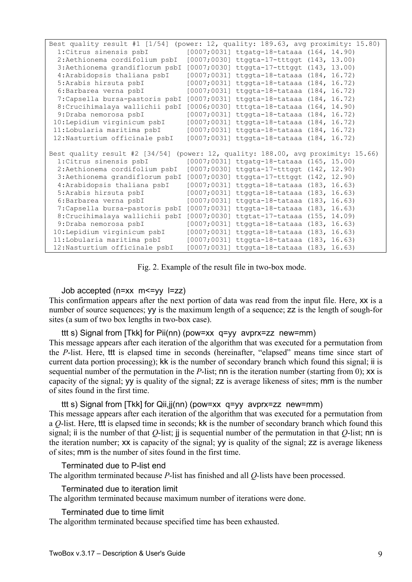| Best quality result #1 [1/54] (power: 12, quality: 189.63, avg proximity: 15.80)  |  |                                           |  |  |
|-----------------------------------------------------------------------------------|--|-------------------------------------------|--|--|
| 1: Citrus sinensis psbI                                                           |  | [0007;0031] ttgatg-18-tataaa (164, 14.90) |  |  |
| 2: Aethionema cordifolium psbI                                                    |  | [0007;0030] ttggta-17-tttggt (143, 13.00) |  |  |
| 3: Aethionema grandiflorum psbI [0007;0030] ttggta-17-tttggt (143, 13.00)         |  |                                           |  |  |
| 4: Arabidopsis thaliana psbI                                                      |  | [0007;0031] ttggta-18-tataaa (184, 16.72) |  |  |
| 5: Arabis hirsuta psbI                                                            |  | [0007;0031] ttggta-18-tataaa (184, 16.72) |  |  |
| 6: Barbarea verna psbI                                                            |  | [0007;0031] ttggta-18-tataaa (184, 16.72) |  |  |
| 7: Capsella bursa-pastoris psbI                                                   |  | [0007;0031] ttggta-18-tataaa (184, 16.72) |  |  |
| 8: Crucihimalaya wallichii psbI                                                   |  | [0006;0030] tttgta-18-tataaa (164, 14.90) |  |  |
| 9: Draba nemorosa psbI                                                            |  | [0007;0031] ttggta-18-tataaa (184, 16.72) |  |  |
| 10:Lepidium virginicum psbI                                                       |  | [0007;0031] ttggta-18-tataaa (184, 16.72) |  |  |
| 11: Lobularia maritima psbI                                                       |  | [0007;0031] ttggta-18-tataaa (184, 16.72) |  |  |
| 12:Nasturtium officinale psbI                                                     |  | [0007;0031] ttggta-18-tataaa (184, 16.72) |  |  |
| Best quality result #2 [34/54] (power: 12, quality: 188.00, avg proximity: 15.66) |  |                                           |  |  |
| 1: Citrus sinensis psbI                                                           |  | [0007;0031] ttgatg-18-tataaa (165, 15.00) |  |  |
| 2:Aethionema cordifolium psbI                                                     |  | [0007;0030] ttggta-17-tttggt (142, 12.90) |  |  |
| 3: Aethionema grandiflorum psbI                                                   |  | [0007;0030] ttggta-17-tttggt (142, 12.90) |  |  |
| 4: Arabidopsis thaliana psbI                                                      |  | [0007;0031] ttggta-18-tataaa (183, 16.63) |  |  |
| 5: Arabis hirsuta psbI                                                            |  | [0007;0031] ttggta-18-tataaa (183, 16.63) |  |  |
| 6: Barbarea verna psbI                                                            |  | [0007;0031] ttggta-18-tataaa (183, 16.63) |  |  |
| 7: Capsella bursa-pastoris psbI                                                   |  | [0007;0031] ttggta-18-tataaa (183, 16.63) |  |  |
| 8: Crucihimalaya wallichii psbI                                                   |  | [0007;0030] ttgtat-17-tataaa (155, 14.09) |  |  |
| 9:Draba nemorosa psbI                                                             |  | [0007;0031] ttggta-18-tataaa (183, 16.63) |  |  |
| 10:Lepidium virginicum psbI                                                       |  | [0007;0031] ttggta-18-tataaa (183, 16.63) |  |  |
| 11:Lobularia maritima psbI                                                        |  | [0007;0031] ttggta-18-tataaa (183, 16.63) |  |  |
| 12: Nasturtium officinale psbI                                                    |  | [0007;0031] ttggta-18-tataaa (183, 16.63) |  |  |

Fig. 2. Example of the result file in two-box mode.

#### Job accepted (n=xx m<=yy l=zz)

This confirmation appears after the next portion of data was read from the input file. Here, xx is a number of source sequences; yy is the maximum length of a sequence; zz is the length of sough-for sites (a sum of two box lengths in two-box case).

#### ttt s) Signal from [Tkk] for Pii(nn) (pow=xx q=yy avprx=zz new=mm)

This message appears after each iteration of the algorithm that was executed for a permutation from the *P*-list. Here, ttt is elapsed time in seconds (hereinafter, "elapsed" means time since start of current data portion processing); kk is the number of secondary branch which found this signal; ii is sequential number of the permutation in the *P*-list; nn is the iteration number (starting from 0); xx is capacity of the signal; yy is quality of the signal; zz is average likeness of sites; mm is the number of sites found in the first time.

#### ttt s) Signal from [Tkk] for Qii,jj(nn) (pow=xx q=yy avprx=zz new=mm)

This message appears after each iteration of the algorithm that was executed for a permutation from a *Q*-list. Here, ttt is elapsed time in seconds; kk is the number of secondary branch which found this signal; ii is the number of that *Q*-list; jj is sequential number of the permutation in that *Q*-list; nn is the iteration number; xx is capacity of the signal; yy is quality of the signal; zz is average likeness of sites; mm is the number of sites found in the first time.

#### Terminated due to P-list end

The algorithm terminated because *P*-list has finished and all *Q-*lists have been processed.

#### Terminated due to iteration limit

The algorithm terminated because maximum number of iterations were done.

Terminated due to time limit

The algorithm terminated because specified time has been exhausted.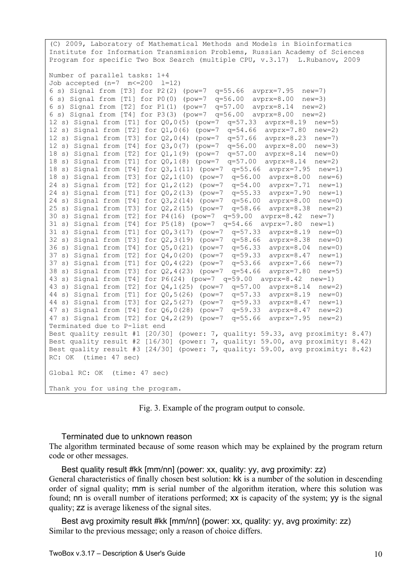(C) 2009, Laboratory of Mathematical Methods and Models in Bioinformatics Institute for Information Transmission Problems, Russian Academy of Sciences Program for specific Two Box Search (multiple CPU, v.3.17) L.Rubanov, 2009 Number of parallel tasks: 1+4 Job accepted  $(n=7$   $m<=200$   $l=12$ ) 6 s) Signal from [T3] for P2(2) (pow=7 q=55.66 avprx=7.95 new=7) 6 s) Signal from [T1] for P0(0) (pow=7 q=56.00 avprx=8.00 new=3) 6 s) Signal from [T2] for P1(1) (pow=7 q=57.00 avprx=8.14 new=2) 6 s) Signal from [T4] for P3(3) (pow=7 q=56.00 avprx=8.00 new=2) 12 s) Signal from [T1] for Q0,0(5) (pow=7 q=57.33 avprx=8.19 new=5) 12 s) Signal from [T2] for Q1,0(6) (pow=7 q=54.66 avprx=7.80 new=2) 12 s) Signal from [T3] for Q2,0(4) (pow=7 q=57.66 avprx=8.23 new=7) 12 s) Signal from [T4] for Q3,0(7) (pow=7 q=56.00 avprx=8.00 new=3) 18 s) Signal from [T2] for Q1,1(9) (pow=7 q=57.00 avprx=8.14 new=0) 18 s) Signal from [T1] for Q0,1(8) (pow=7 q=57.00 avprx=8.14 new=2) 18 s) Signal from [T4] for Q3,1(11) (pow=7 q=55.66 avprx=7.95 new=1) 18 s) Signal from [T3] for Q2,1(10) (pow=7 q=56.00 avprx=8.00 new=6) 24 s) Signal from [T2] for Q1,2(12) (pow=7 q=54.00 avprx=7.71 new=1) 24 s) Signal from [T1] for Q0,2(13) (pow=7 q=55.33 avprx=7.90 new=1) 24 s) Signal from [T4] for Q3,2(14) (pow=7 q=56.00 avprx=8.00 new=0) 25 s) Signal from [T3] for Q2,2(15) (pow=7 q=58.66 avprx=8.38 new=2) 30 s) Signal from [T2] for P4(16) (pow=7 q=59.00 avprx=8.42 new=7) 31 s) Signal from [T4] for P5(18) (pow=7 q=54.66 avprx=7.80 new=1) 31 s) Signal from [T1] for Q0,3(17) (pow=7 q=57.33 avprx=8.19 new=0) 32 s) Signal from [T3] for Q2,3(19) (pow=7 q=58.66 avprx=8.38 new=0) 36 s) Signal from [T4] for Q5,0(21) (pow=7 q=56.33 avprx=8.04 new=0) 37 s) Signal from [T2] for Q4,0(20) (pow=7 q=59.33 avprx=8.47 new=1) 37 s) Signal from [T1] for Q0,4(22) (pow=7 q=53.66 avprx=7.66 new=7) 38 s) Signal from [T3] for Q2,4(23) (pow=7 q=54.66 avprx=7.80 new=5) 43 s) Signal from [T4] for P6(24) (pow=7 q=59.00 avprx=8.42 new=1) 43 s) Signal from [T2] for Q4,1(25) (pow=7 q=57.00 avprx=8.14 new=2) 44 s) Signal from [T1] for Q0,5(26) (pow=7 q=57.33 avprx=8.19 new=0) 44 s) Signal from [T3] for Q2,5(27) (pow=7 q=59.33 avprx=8.47 new=1) 47 s) Signal from [T4] for Q6,0(28) (pow=7 q=59.33 avprx=8.47 new=2) 47 s) Signal from [T2] for Q4,2(29) (pow=7 q=55.66 avprx=7.95 new=2) Terminated due to P-list end Best quality result #1 [20/30] (power: 7, quality: 59.33, avg proximity: 8.47) Best quality result #2 [16/30] (power: 7, quality: 59.00, avg proximity: 8.42) Best quality result #3 [24/30] (power: 7, quality: 59.00, avg proximity: 8.42) RC: OK (time: 47 sec) Global RC: OK (time: 47 sec) Thank you for using the program.

Fig. 3. Example of the program output to console.

Terminated due to unknown reason

The algorithm terminated because of some reason which may be explained by the program return code or other messages.

Best quality result #kk [mm/nn] (power: xx, quality: yy, avg proximity: zz) General characteristics of finally chosen best solution: kk is a number of the solution in descending order of signal quality; mm is serial number of the algorithm iteration, where this solution was found; nn is overall number of iterations performed; xx is capacity of the system; yy is the signal quality; zz is average likeness of the signal sites.

Best avg proximity result #kk [mm/nn] (power: xx, quality: yy, avg proximity: zz) Similar to the previous message; only a reason of choice differs.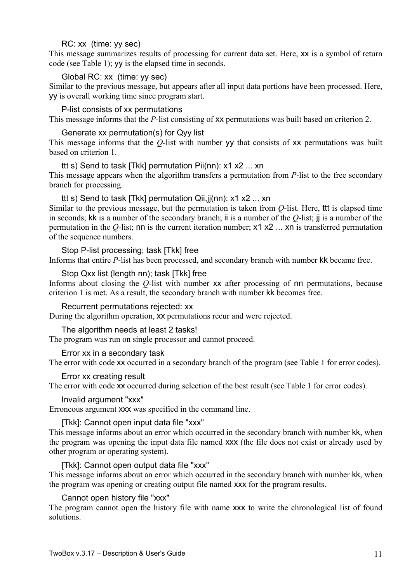# RC: xx (time: yy sec)

This message summarizes results of processing for current data set. Here, xx is a symbol of return code (see Table 1); yy is the elapsed time in seconds.

# Global RC: xx (time: yy sec)

Similar to the previous message, but appears after all input data portions have been processed. Here, yy is overall working time since program start.

#### P-list consists of xx permutations

This message informs that the *P*-list consisting of **xx** permutations was built based on criterion 2.

#### Generate xx permutation(s) for Qyy list

This message informs that the *Q*-list with number vv that consists of **xx** permutations was built based on criterion 1.

# ttt s) Send to task [Tkk] permutation Pii(nn): x1 x2 ... xn

This message appears when the algorithm transfers a permutation from *P*-list to the free secondary branch for processing.

### ttt s) Send to task [Tkk] permutation Qii,jj(nn): x1 x2 ... xn

Similar to the previous message, but the permutation is taken from *Q*-list. Here, ttt is elapsed time in seconds; kk is a number of the secondary branch; ii is a number of the *Q*-list; jj is a number of the permutation in the *Q-*list; nn is the current iteration number; x1 x2 ... xn is transferred permutation of the sequence numbers.

### Stop P-list processing; task [Tkk] free

Informs that entire *P*-list has been processed, and secondary branch with number kk became free.

### Stop Qxx list (length nn); task [Tkk] free

Informs about closing the *Q-*list with number xx after processing of nn permutations, because criterion 1 is met. As a result, the secondary branch with number kk becomes free.

### Recurrent permutations rejected: xx

During the algorithm operation, xx permutations recur and were rejected.

### The algorithm needs at least 2 tasks!

The program was run on single processor and cannot proceed.

#### Error xx in a secondary task

The error with code xx occurred in a secondary branch of the program (see Table 1 for error codes).

#### Error xx creating result

The error with code xx occurred during selection of the best result (see Table 1 for error codes).

#### Invalid argument "xxx"

Erroneous argument xxx was specified in the command line.

# [Tkk]: Cannot open input data file "xxx"

This message informs about an error which occurred in the secondary branch with number kk, when the program was opening the input data file named ххх (the file does not exist or already used by other program or operating system).

#### [Tkk]: Cannot open output data file "xxx"

This message informs about an error which occurred in the secondary branch with number kk, when the program was opening or creating output file named ххх for the program results.

# Cannot open history file "xxx"

The program cannot open the history file with name  $xxx$  to write the chronological list of found solutions.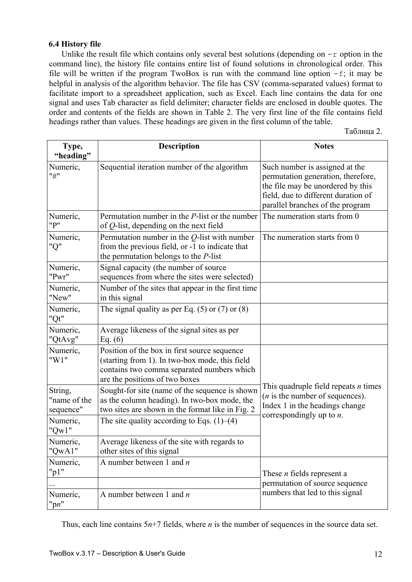### **6.4 History file**

Unlike the result file which contains only several best solutions (depending on  $-r$  option in the command line), the history file contains entire list of found solutions in chronological order. This file will be written if the program TwoBox is run with the command line option  $-f$ ; it may be helpful in analysis of the algorithm behavior. The file has CSV (comma-separated values) format to facilitate import to a spreadsheet application, such as Excel. Each line contains the data for one signal and uses Tab character as field delimiter; character fields are enclosed in double quotes. The order and contents of the fields are shown in Table 2. The very first line of the file contains field headings rather than values. These headings are given in the first column of the table.

Таблица 2.

| Type,<br>"heading"                   | <b>Description</b>                                                                                                                                                             | <b>Notes</b>                                                                                                                                                                         |
|--------------------------------------|--------------------------------------------------------------------------------------------------------------------------------------------------------------------------------|--------------------------------------------------------------------------------------------------------------------------------------------------------------------------------------|
| Numeric,<br>"#"                      | Sequential iteration number of the algorithm                                                                                                                                   | Such number is assigned at the<br>permutation generation, therefore,<br>the file may be unordered by this<br>field, due to different duration of<br>parallel branches of the program |
| Numeric,<br>"P"                      | Permutation number in the $P$ -list or the number<br>of $Q$ -list, depending on the next field                                                                                 | The numeration starts from 0                                                                                                                                                         |
| Numeric,<br>"Q"                      | Permutation number in the $Q$ -list with number<br>from the previous field, or -1 to indicate that<br>the permutation belongs to the $P$ -list                                 | The numeration starts from 0                                                                                                                                                         |
| Numeric,<br>"Pwr"                    | Signal capacity (the number of source<br>sequences from where the sites were selected)                                                                                         |                                                                                                                                                                                      |
| Numeric,<br>"New"                    | Number of the sites that appear in the first time<br>in this signal                                                                                                            |                                                                                                                                                                                      |
| Numeric,<br>"Qt"                     | The signal quality as per Eq. $(5)$ or $(7)$ or $(8)$                                                                                                                          |                                                                                                                                                                                      |
| Numeric,<br>"QtAvg"                  | Average likeness of the signal sites as per<br>Eq. $(6)$                                                                                                                       |                                                                                                                                                                                      |
| Numeric,<br>"W1"                     | Position of the box in first source sequence<br>(starting from 1). In two-box mode, this field<br>contains two comma separated numbers which<br>are the positions of two boxes |                                                                                                                                                                                      |
| String,<br>"name of the<br>sequence" | Sought-for site (name of the sequence is shown<br>as the column heading). In two-box mode, the<br>two sites are shown in the format like in Fig. 2                             | This quadruple field repeats <i>n</i> times<br>$(n$ is the number of sequences).<br>Index 1 in the headings change<br>correspondingly up to $n$ .                                    |
| Numeric,<br>" $Qw1$ "                | The site quality according to Eqs. $(1)$ – $(4)$                                                                                                                               |                                                                                                                                                                                      |
| Numeric,<br>"QwA1"                   | Average likeness of the site with regards to<br>other sites of this signal                                                                                                     |                                                                                                                                                                                      |
| Numeric,<br>" $p1$ "                 | A number between 1 and $n$                                                                                                                                                     | These <i>n</i> fields represent a<br>permutation of source sequence                                                                                                                  |
| Numeric,<br>" $pn$ "                 | A number between 1 and $n$                                                                                                                                                     | numbers that led to this signal                                                                                                                                                      |

Thus, each line contains 5*n*+7 fields, where *n* is the number of sequences in the source data set.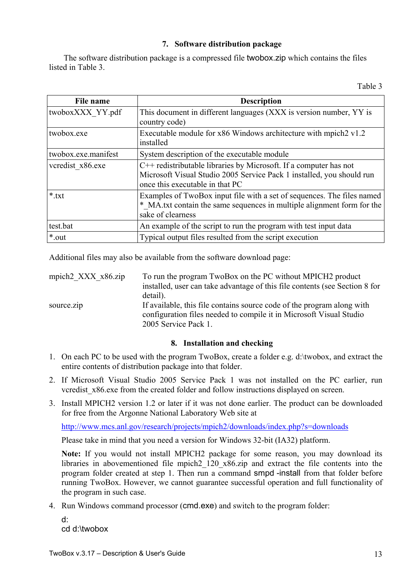# **7. Software distribution package**

<span id="page-12-0"></span>The software distribution package is a compressed file twobox.zip which contains the files listed in Table 3.

| File name           | <b>Description</b>                                                                                                                                                            |
|---------------------|-------------------------------------------------------------------------------------------------------------------------------------------------------------------------------|
| twoboxXXX YY.pdf    | This document in different languages (XXX is version number, YY is<br>country code)                                                                                           |
| twobox.exe          | Executable module for x86 Windows architecture with mpich 2 v1.2<br>installed                                                                                                 |
| twobox.exe.manifest | System description of the executable module                                                                                                                                   |
| vcredist x86.exe    | C++ redistributable libraries by Microsoft. If a computer has not<br>Microsoft Visual Studio 2005 Service Pack 1 installed, you should run<br>once this executable in that PC |
| $*$ txt             | Examples of TwoBox input file with a set of sequences. The files named<br>* MA.txt contain the same sequences in multiple alignment form for the<br>sake of clearness         |
| test.bat            | An example of the script to run the program with test input data                                                                                                              |
| *.out               | Typical output files resulted from the script execution                                                                                                                       |

Additional files may also be available from the software download page:

| mpich $2$ XXX $x86.\overline{zip}$ | To run the program TwoBox on the PC without MPICH2 product                                                                                    |
|------------------------------------|-----------------------------------------------------------------------------------------------------------------------------------------------|
|                                    | installed, user can take advantage of this file contents (see Section 8 for                                                                   |
|                                    | detail).                                                                                                                                      |
| source.zip                         | If available, this file contains source code of the program along with<br>configuration files needed to compile it in Microsoft Visual Studio |
|                                    | 2005 Service Pack 1.                                                                                                                          |

# **8. Installation and checking**

- 1. On each PC to be used with the program TwoBox, create a folder e.g. d:\twobox, and extract the entire contents of distribution package into that folder.
- 2. If Microsoft Visual Studio 2005 Service Pack 1 was not installed on the PC earlier, run vcredist x86.exe from the created folder and follow instructions displayed on screen.
- 3. Install MPICH2 version 1.2 or later if it was not done earlier. The product can be downloaded for free from the Argonne National Laboratory Web site at

<http://www.mcs.anl.gov/research/projects/mpich2/downloads/index.php?s=downloads>

Please take in mind that you need a version for Windows 32-bit (IA32) platform.

**Note:** If you would not install MPICH2 package for some reason, you may download its libraries in abovementioned file mpich2\_120\_x86.zip and extract the file contents into the program folder created at step 1. Then run a command smpd -install from that folder before running TwoBox. However, we cannot guarantee successful operation and full functionality of the program in such case.

4. Run Windows command processor (cmd.exe) and switch to the program folder:

d: cd d:\twobox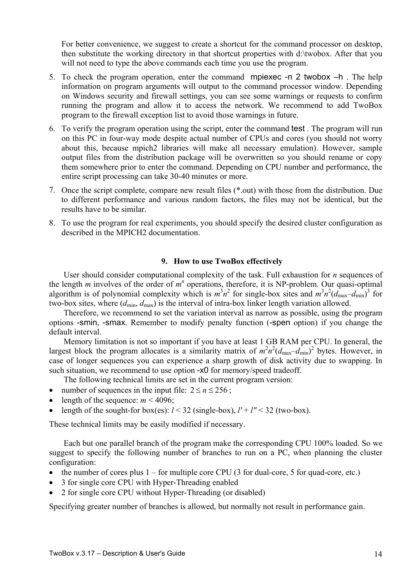<span id="page-13-0"></span>For better convenience, we suggest to create a shortcut for the command processor on desktop. then substitute the working directory in that shortcut properties with d:\twobox. After that you will not need to type the above commands each time you use the program.

- 5. To check the program operation, enter the command mpiexec -n 2 twobox –h . The help information on program arguments will output to the command processor window. Depending on Windows security and firewall settings, you can see some warnings or requests to confirm running the program and allow it to access the network. We recommend to add TwoBox program to the firewall exception list to avoid those warnings in future.
- 6. To verify the program operation using the script, enter the command test . The program will run on this PC in four-way mode despite actual number of CPUs and cores (you should not worry about this, because mpich2 libraries will make all necessary emulation). However, sample output files from the distribution package will be overwritten so you should rename or copy them somewhere prior to enter the command. Depending on CPU number and performance, the entire script processing can take 30-40 minutes or more.
- 7. Once the script complete, compare new result files (\*.out) with those from the distribution. Due to different performance and various random factors, the files may not be identical, but the results have to be similar.
- 8. To use the program for real experiments, you should specify the desired cluster configuration as described in the MPICH2 documentation.

#### **9. How to use TwoBox effectively**

User should consider computational complexity of the task. Full exhaustion for *n* sequences of the length  $m$  involves of the order of  $m^n$  operations, therefore, it is NP-problem. Our quasi-optimal algorithm is of polynomial complexity which is  $m^3n^2$  for single-box sites and  $m^3n^2(d_{\text{max}}-d_{\text{min}})^3$  for two-box sites, where ( $d_{\text{min}}$ ,  $d_{\text{max}}$ ) is the interval of intra-box linker length variation allowed.

Therefore, we recommend to set the variation interval as narrow as possible, using the program options -smin, -smax. Remember to modify penalty function (-spen option) if you change the default interval.

Memory limitation is not so important if you have at least 1 GB RAM per CPU. In general, the largest block the program allocates is a similarity matrix of  $m^2n^2(d_{\text{max}}-d_{\text{min}})^2$  bytes. However, in case of longer sequences you can experience a sharp growth of disk activity due to swapping. In such situation, we recommend to use option -x0 for memory/speed tradeoff.

The following technical limits are set in the current program version:

- number of sequences in the input file:  $2 \le n \le 256$ ;
- length of the sequence:  $m < 4096$ ;
- length of the sought-for box(es):  $l < 32$  (single-box),  $l' + l'' < 32$  (two-box).

These technical limits may be easily modified if necessary.

Each but one parallel branch of the program make the corresponding CPU 100% loaded. So we suggest to specify the following number of branches to run on a PC, when planning the cluster configuration:

- the number of cores plus  $1 -$  for multiple core CPU (3 for dual-core, 5 for quad-core, etc.)
- 3 for single core CPU with Hyper-Threading enabled
- 2 for single core CPU without Hyper-Threading (or disabled)

Specifying greater number of branches is allowed, but normally not result in performance gain.